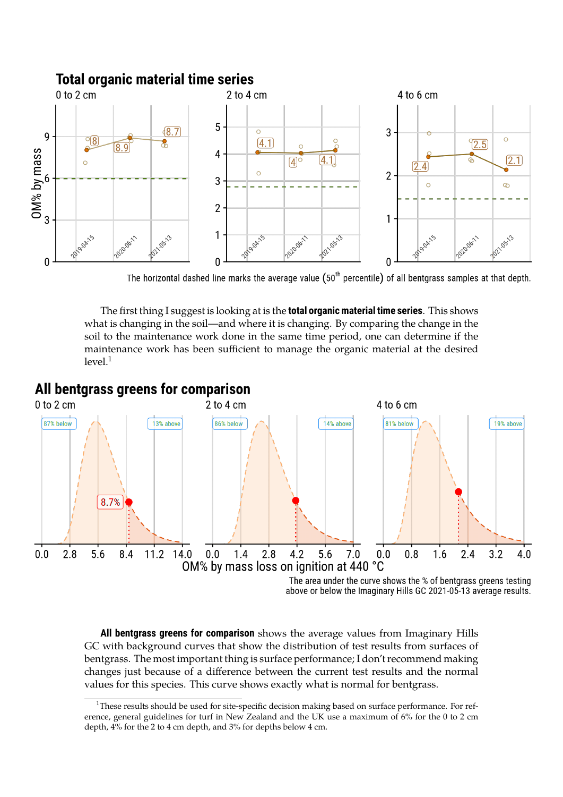## **Total organic material time series**



The horizontal dashed line marks the average value  $(50<sup>th</sup>$  percentile) of all bentgrass samples at that depth.

The first thing I suggest is looking at is the **total organic material time series**. This shows what is changing in the soil—and where it is changing. By comparing the change in the soil to the maintenance work done in the same time period, one can determine if the maintenance work has been sufficient to manage the organic material at the desired  $level<sup>1</sup>$ 



**All bentgrass greens for comparison** shows the average values from Imaginary Hills GC with background curves that show the distribution of test results from surfaces of bentgrass. The most important thing is surface performance; I don't recommend making changes just because of a difference between the current test results and the normal values for this species. This curve shows exactly what is normal for bentgrass.

<sup>&</sup>lt;sup>1</sup>These results should be used for site-specific decision making based on surface performance. For reference, general guidelines for turf in New Zealand and the UK use a maximum of 6% for the 0 to 2 cm depth, 4% for the 2 to 4 cm depth, and 3% for depths below 4 cm.